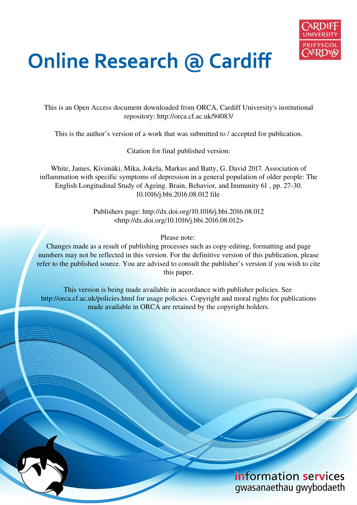

# **Online Research @ Cardiff**

This is an Open Access document downloaded from ORCA, Cardiff University's institutional repository: http://orca.cf.ac.uk/94083/

This is the author's version of a work that was submitted to / accepted for publication.

Citation for final published version:

White, James, Kivimäki, Mika, Jokela, Markus and Batty, G. David 2017. Association of inflammation with specific symptoms of depression in a general population of older people: The English Longitudinal Study of Ageing. Brain, Behavior, and Immunity 61 , pp. 27-30. 10.1016/j.bbi.2016.08.012 file

> Publishers page: http://dx.doi.org/10.1016/j.bbi.2016.08.012 <http://dx.doi.org/10.1016/j.bbi.2016.08.012>

> > Please note:

Changes made as a result of publishing processes such as copy-editing, formatting and page numbers may not be reflected in this version. For the definitive version of this publication, please refer to the published source. You are advised to consult the publisher's version if you wish to cite this paper.

This version is being made available in accordance with publisher policies. See http://orca.cf.ac.uk/policies.html for usage policies. Copyright and moral rights for publications made available in ORCA are retained by the copyright holders.

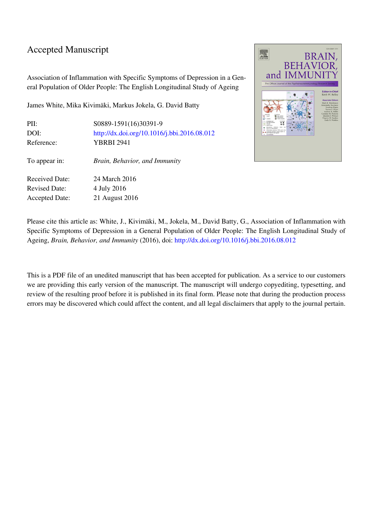### Accepted Manuscript

Association of Inflammation with Specific Symptoms of Depression in a General Population of Older People: The English Longitudinal Study of Ageing

James White, Mika Kivimäki, Markus Jokela, G. David Batty

| PII:<br>DOI:<br>Reference:                    | S0889-1591(16)30391-9<br>http://dx.doi.org/10.1016/j.bbi.2016.08.012<br>YBRBI 2941 |
|-----------------------------------------------|------------------------------------------------------------------------------------|
| To appear in:                                 | Brain, Behavior, and Immunity                                                      |
| <b>Received Date:</b><br><b>Revised Date:</b> | 24 March 2016                                                                      |
| <b>Accepted Date:</b>                         | 4 July 2016<br>21 August 2016                                                      |



Please cite this article as: White, J., Kivimäki, M., Jokela, M., David Batty, G., Association of Inflammation with Specific Symptoms of Depression in a General Population of Older People: The English Longitudinal Study of Ageing, *Brain, Behavior, and Immunity* (2016), doi:<http://dx.doi.org/10.1016/j.bbi.2016.08.012>

This is a PDF file of an unedited manuscript that has been accepted for publication. As a service to our customers we are providing this early version of the manuscript. The manuscript will undergo copyediting, typesetting, and review of the resulting proof before it is published in its final form. Please note that during the production process errors may be discovered which could affect the content, and all legal disclaimers that apply to the journal pertain.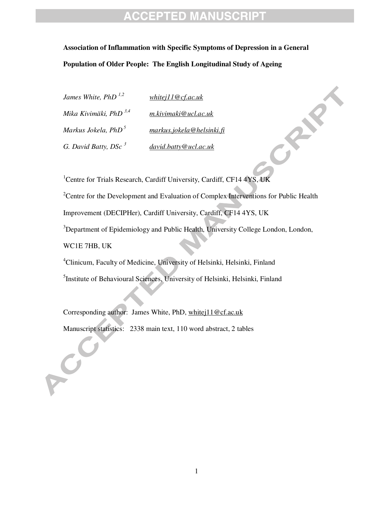**Association of Inflammation with Specific Symptoms of Depression in a General Population of Older People: The English Longitudinal Study of Ageing** 

*James White, PhD 1,2 whitej11@cf.ac.uk Mika Kivimäki, PhD 3,4 m.kivimaki@ucl.ac.uk Markus Jokela, PhD<sup>5</sup>markus.jokela@helsinki.fi G. David Batty, DSc <sup>3</sup>david.batty@ucl.ac.uk* 

<sup>1</sup>Centre for Trials Research, Cardiff University, Cardiff, CF14 4YS, UK <sup>2</sup>Centre for the Development and Evaluation of Complex Interventions for Public Health Improvement (DECIPHer), Cardiff University, Cardiff, CF14 4YS, UK <sup>3</sup>Department of Epidemiology and Public Health, University College London, London, WC1E 7HB, UK <sup>4</sup>Clinicum, Faculty of Medicine, University of Helsinki, Helsinki, Finland

<sup>5</sup>Institute of Behavioural Sciences, University of Helsinki, Helsinki, Finland

Corresponding author: James White, PhD, whitej11@cf.ac.uk Manuscript statistics: 2338 main text, 110 word abstract, 2 tables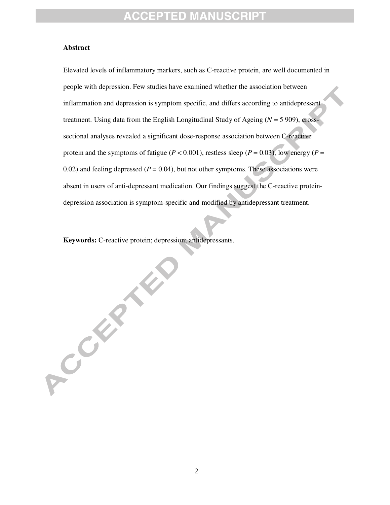#### **Abstract**

Elevated levels of inflammatory markers, such as C-reactive protein, are well documented in people with depression. Few studies have examined whether the association between inflammation and depression is symptom specific, and differs according to antidepressant treatment. Using data from the English Longitudinal Study of Ageing (*N* = 5 909), crosssectional analyses revealed a significant dose-response association between C-reactive protein and the symptoms of fatigue ( $P < 0.001$ ), restless sleep ( $P = 0.03$ ), low energy ( $P =$ 0.02) and feeling depressed  $(P = 0.04)$ , but not other symptoms. These associations were absent in users of anti-depressant medication. Our findings suggest the C-reactive proteindepression association is symptom-specific and modified by antidepressant treatment.

**Keywords:** C-reactive protein; depression; antidepressants.

**2000 - 22 Miles**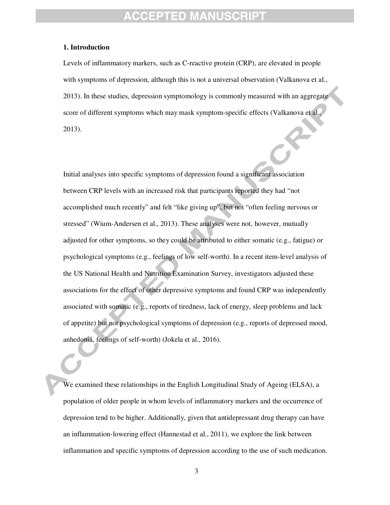### **CCEPTED MANUS**

#### **1. Introduction**

Levels of inflammatory markers, such as C-reactive protein (CRP), are elevated in people with symptoms of depression, although this is not a universal observation (Valkanova et al., 2013). In these studies, depression symptomology is commonly measured with an aggregate score of different symptoms which may mask symptom-specific effects (Valkanova et al., 2013).

Initial analyses into specific symptoms of depression found a significant association between CRP levels with an increased risk that participants reported they had "not accomplished much recently" and felt "like giving up", but not "often feeling nervous or stressed" (Wium-Andersen et al., 2013). These analyses were not, however, mutually adjusted for other symptoms, so they could be attributed to either somatic (e.g., fatigue) or psychological symptoms (e.g., feelings of low self-worth). In a recent item-level analysis of the US National Health and Nutrition Examination Survey, investigators adjusted these associations for the effect of other depressive symptoms and found CRP was independently associated with somatic (e.g., reports of tiredness, lack of energy, sleep problems and lack of appetite) but not psychological symptoms of depression (e.g., reports of depressed mood, anhedonia, feelings of self-worth) (Jokela et al., 2016).

We examined these relationships in the English Longitudinal Study of Ageing (ELSA), a population of older people in whom levels of inflammatory markers and the occurrence of depression tend to be higher. Additionally, given that antidepressant drug therapy can have an inflammation-lowering effect (Hannestad et al., 2011), we explore the link between inflammation and specific symptoms of depression according to the use of such medication.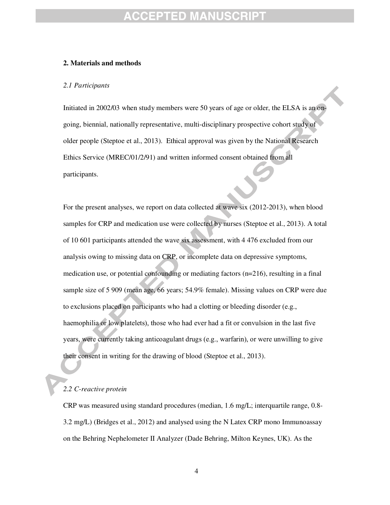### EPTED MANU

#### **2. Materials and methods**

#### *2.1 Participants*

 older people (Steptoe et al., 2013). Ethical approval was given by the National Research Initiated in 2002/03 when study members were 50 years of age or older, the ELSA is an ongoing, biennial, nationally representative, multi-disciplinary prospective cohort study of Ethics Service (MREC/01/2/91) and written informed consent obtained from all participants.

For the present analyses, we report on data collected at wave six (2012-2013), when blood samples for CRP and medication use were collected by nurses (Steptoe et al., 2013). A total of 10 601 participants attended the wave six assessment, with 4 476 excluded from our analysis owing to missing data on CRP, or incomplete data on depressive symptoms, medication use, or potential confounding or mediating factors (n=216), resulting in a final sample size of 5 909 (mean age, 66 years; 54.9% female). Missing values on CRP were due to exclusions placed on participants who had a clotting or bleeding disorder (e.g., haemophilia or low platelets), those who had ever had a fit or convulsion in the last five years, were currently taking anticoagulant drugs (e.g., warfarin), or were unwilling to give their consent in writing for the drawing of blood (Steptoe et al., 2013).

#### *2.2 C-reactive protein*

CRP was measured using standard procedures (median, 1.6 mg/L; interquartile range, 0.8- 3.2 mg/L) (Bridges et al., 2012) and analysed using the N Latex CRP mono Immunoassay on the Behring Nephelometer II Analyzer (Dade Behring, Milton Keynes, UK). As the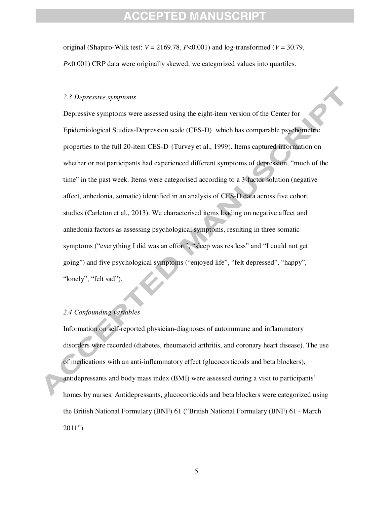original (Shapiro-Wilk test:  $V = 2169.78$ ,  $P < 0.001$ ) and log-transformed ( $V = 30.79$ , *P*<0.001) CRP data were originally skewed, we categorized values into quartiles.

#### *2.3 Depressive symptoms*

 properties to the full 20-item CES-D (Turvey et al., 1999). Items captured information on Depressive symptoms were assessed using the eight-item version of the Center for Epidemiological Studies-Depression scale (CES-D) which has comparable psychometric whether or not participants had experienced different symptoms of depression, "much of the time" in the past week. Items were categorised according to a 3-factor solution (negative affect, anhedonia, somatic) identified in an analysis of CES-D data across five cohort studies (Carleton et al., 2013). We characterised items loading on negative affect and anhedonia factors as assessing psychological symptoms, resulting in three somatic symptoms ("everything I did was an effort", "sleep was restless" and "I could not get going") and five psychological symptoms ("enjoyed life", "felt depressed", "happy", "lonely", "felt sad").

#### *2.4 Confounding variables*

Information on self-reported physician-diagnoses of autoimmune and inflammatory disorders were recorded (diabetes, rheumatoid arthritis, and coronary heart disease). The use of medications with an anti-inflammatory effect (glucocorticoids and beta blockers), antidepressants and body mass index (BMI) were assessed during a visit to participants' homes by nurses. Antidepressants, glucocorticoids and beta blockers were categorized using the British National Formulary (BNF) 61 ("British National Formulary (BNF) 61 - March 2011").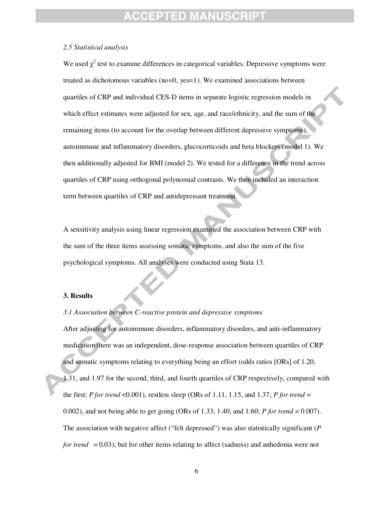### CEPTED MANUS

#### *2.5 Statistical analysis*

 autoimmune and inflammatory disorders, glucocorticoids and beta blockers (model 1). We We used  $\chi^2$  test to examine differences in categorical variables. Depressive symptoms were treated as dichotomous variables (no=0, yes=1). We examined associations between quartiles of CRP and individual CES-D items in separate logistic regression models in which effect estimates were adjusted for sex, age, and race/ethnicity, and the sum of the remaining items (to account for the overlap between different depressive symptoms), then additionally adjusted for BMI (model 2). We tested for a difference in the trend across quartiles of CRP using orthogonal polynomial contrasts. We then included an interaction term between quartiles of CRP and antidepressant treatment.

A sensitivity analysis using linear regression examined the association between CRP with the sum of the three items assessing somatic symptoms, and also the sum of the five psychological symptoms. All analyses were conducted using Stata 13.

#### **3. Results**

#### *3.1 Association between C-reactive protein and depressive symptoms*

After adjusting for autoimmune disorders, inflammatory disorders, and anti-inflammatory medication there was an independent, dose-response association between quartiles of CRP and somatic symptoms relating to everything being an effort (odds ratios [ORs] of 1.20, 1.31, and 1.97 for the second, third, and fourth quartiles of CRP respectively, compared with the first; *P* for trend <0.001), restless sleep (ORs of 1.11, 1.15, and 1.37; *P* for trend = 0.002), and not being able to get going (ORs of 1.33, 1.40, and 1.60; *P for trend* = 0.007). The association with negative affect ("felt depressed") was also statistically significant (*P for trend* = 0.03); but for other items relating to affect (sadness) and anhedonia were not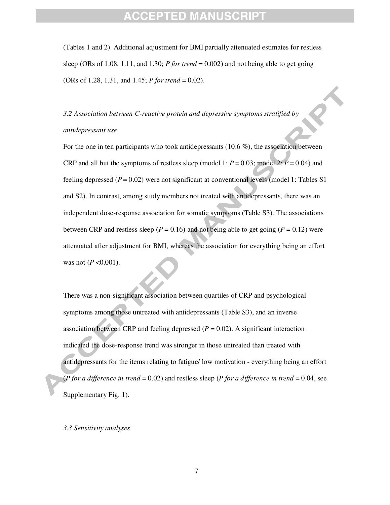(Tables 1 and 2). Additional adjustment for BMI partially attenuated estimates for restless sleep (ORs of 1.08, 1.11, and 1.30; *P for trend* = 0.002) and not being able to get going (ORs of 1.28, 1.31, and 1.45; *P for trend* = 0.02).

*3.2 Association between C-reactive protein and depressive symptoms stratified by antidepressant use* 

For the one in ten participants who took antidepressants (10.6 %), the association between CRP and all but the symptoms of restless sleep (model 1:  $P = 0.03$ ; model 2:  $P = 0.04$ ) and feeling depressed  $(P = 0.02)$  were not significant at conventional levels (model 1: Tables S1) and S2). In contrast, among study members not treated with antidepressants, there was an independent dose-response association for somatic symptoms (Table S3). The associations between CRP and restless sleep ( $P = 0.16$ ) and not being able to get going ( $P = 0.12$ ) were attenuated after adjustment for BMI, whereas the association for everything being an effort was not ( $P < 0.001$ ).

There was a non-significant association between quartiles of CRP and psychological symptoms among those untreated with antidepressants (Table S3), and an inverse association between CRP and feeling depressed  $(P = 0.02)$ . A significant interaction indicated the dose-response trend was stronger in those untreated than treated with antidepressants for the items relating to fatigue/ low motivation - everything being an effort (*P for a difference in trend* = 0.02) and restless sleep (*P for a difference in trend* = 0.04, see Supplementary Fig. 1).

#### *3.3 Sensitivity analyses*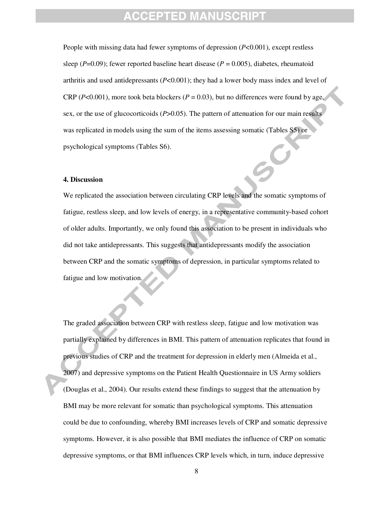People with missing data had fewer symptoms of depression (*P*<0.001), except restless sleep  $(P=0.09)$ ; fewer reported baseline heart disease  $(P=0.005)$ , diabetes, rheumatoid arthritis and used antidepressants  $(P<0.001)$ ; they had a lower body mass index and level of CRP ( $P < 0.001$ ), more took beta blockers ( $P = 0.03$ ), but no differences were found by age, sex, or the use of glucocorticoids (*P*>0.05). The pattern of attenuation for our main results was replicated in models using the sum of the items assessing somatic (Tables S5) or psychological symptoms (Tables S6).

#### **4. Discussion**

We replicated the association between circulating CRP levels and the somatic symptoms of fatigue, restless sleep, and low levels of energy, in a representative community-based cohort of older adults. Importantly, we only found this association to be present in individuals who did not take antidepressants. This suggests that antidepressants modify the association between CRP and the somatic symptoms of depression, in particular symptoms related to fatigue and low motivation.

The graded association between CRP with restless sleep, fatigue and low motivation was partially explained by differences in BMI. This pattern of attenuation replicates that found in previous studies of CRP and the treatment for depression in elderly men (Almeida et al., 2007) and depressive symptoms on the Patient Health Questionnaire in US Army soldiers (Douglas et al., 2004). Our results extend these findings to suggest that the attenuation by BMI may be more relevant for somatic than psychological symptoms. This attenuation could be due to confounding, whereby BMI increases levels of CRP and somatic depressive symptoms. However, it is also possible that BMI mediates the influence of CRP on somatic depressive symptoms, or that BMI influences CRP levels which, in turn, induce depressive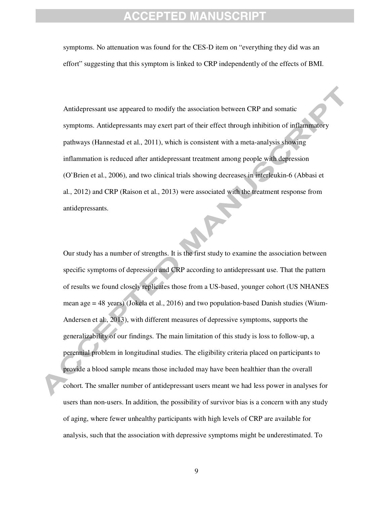symptoms. No attenuation was found for the CES-D item on "everything they did was an effort" suggesting that this symptom is linked to CRP independently of the effects of BMI.

 pathways (Hannestad et al., 2011), which is consistent with a meta-analysis showing Antidepressant use appeared to modify the association between CRP and somatic symptoms. Antidepressants may exert part of their effect through inhibition of inflammatory inflammation is reduced after antidepressant treatment among people with depression (O'Brien et al., 2006), and two clinical trials showing decreases in interleukin-6 (Abbasi et al., 2012) and CRP (Raison et al., 2013) were associated with the treatment response from antidepressants.

Our study has a number of strengths. It is the first study to examine the association between specific symptoms of depression and CRP according to antidepressant use. That the pattern of results we found closely replicates those from a US-based, younger cohort (US NHANES mean age = 48 years) (Jokela et al., 2016) and two population-based Danish studies (Wium-Andersen et al., 2013), with different measures of depressive symptoms, supports the generalizability of our findings. The main limitation of this study is loss to follow-up, a perennial problem in longitudinal studies. The eligibility criteria placed on participants to provide a blood sample means those included may have been healthier than the overall cohort. The smaller number of antidepressant users meant we had less power in analyses for users than non-users. In addition, the possibility of survivor bias is a concern with any study of aging, where fewer unhealthy participants with high levels of CRP are available for analysis, such that the association with depressive symptoms might be underestimated. To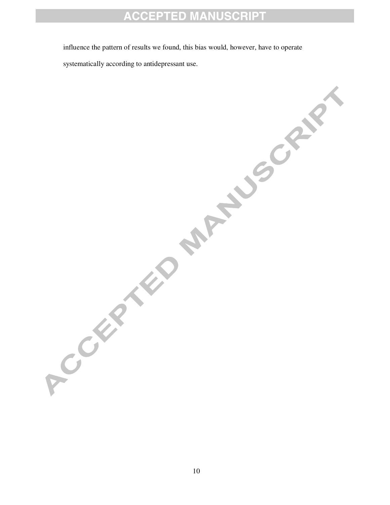influence the pattern of results we found, this bias would, however, have to operate

systematically according to antidepressant use.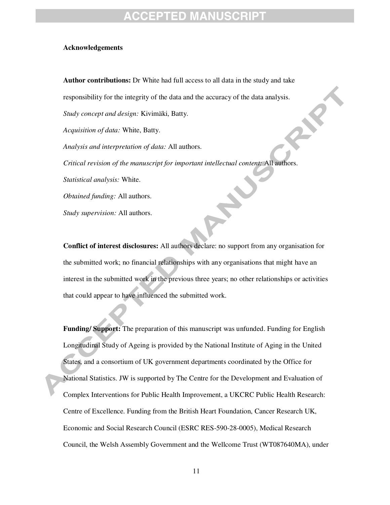#### **Acknowledgements**

**Author contributions:** Dr White had full access to all data in the study and take responsibility for the integrity of the data and the accuracy of the data analysis. *Study concept and design:* Kivimäki, Batty. *Acquisition of data:* White, Batty. *Analysis and interpretation of data:* All authors. *Critical revision of the manuscript for important intellectual content:* All authors. *Statistical analysis:* White. *Obtained funding:* All authors. *Study supervision:* All authors.

**Conflict of interest disclosures:** All authors declare: no support from any organisation for the submitted work; no financial relationships with any organisations that might have an interest in the submitted work in the previous three years; no other relationships or activities that could appear to have influenced the submitted work.

**Funding/ Support:** The preparation of this manuscript was unfunded. Funding for English Longitudinal Study of Ageing is provided by the National Institute of Aging in the United States, and a consortium of UK government departments coordinated by the Office for National Statistics. JW is supported by The Centre for the Development and Evaluation of Complex Interventions for Public Health Improvement, a UKCRC Public Health Research: Centre of Excellence. Funding from the British Heart Foundation, Cancer Research UK, Economic and Social Research Council (ESRC RES-590-28-0005), Medical Research Council, the Welsh Assembly Government and the Wellcome Trust (WT087640MA), under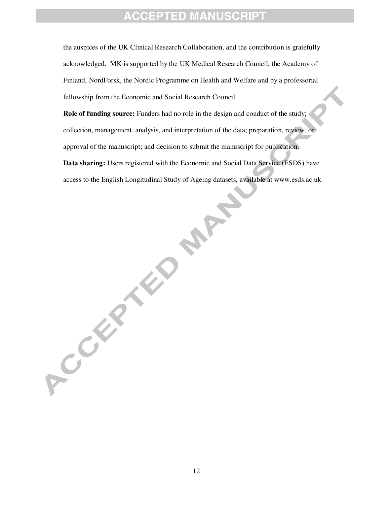the auspices of the UK Clinical Research Collaboration, and the contribution is gratefully acknowledged. MK is supported by the UK Medical Research Council, the Academy of Finland, NordForsk, the Nordic Programme on Health and Welfare and by a professorial fellowship from the Economic and Social Research Council.

**Role of funding source:** Funders had no role in the design and conduct of the study; collection, management, analysis, and interpretation of the data; preparation, review, or approval of the manuscript; and decision to submit the manuscript for publication. **Data sharing:** Users registered with the Economic and Social Data Service (ESDS) have access to the English Longitudinal Study of Ageing datasets, available at www.esds.ac.uk.

**PART** 

ACCEPTED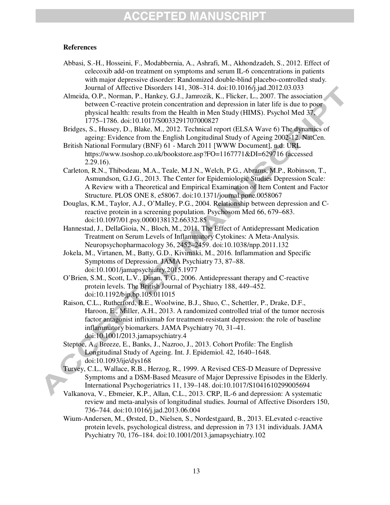#### **References**

- Abbasi, S.-H., Hosseini, F., Modabbernia, A., Ashrafi, M., Akhondzadeh, S., 2012. Effect of celecoxib add-on treatment on symptoms and serum IL-6 concentrations in patients with major depressive disorder: Randomized double-blind placebo-controlled study. Journal of Affective Disorders 141, 308–314. doi:10.1016/j.jad.2012.03.033
- Almeida, O.P., Norman, P., Hankey, G.J., Jamrozik, K., Flicker, L., 2007. The association between C-reactive protein concentration and depression in later life is due to poor physical health: results from the Health in Men Study (HIMS). Psychol Med 37, 1775–1786. doi:10.1017/S0033291707000827
- Bridges, S., Hussey, D., Blake, M., 2012. Technical report (ELSA Wave 6) The dynamics of ageing: Evidence from the English Longitudinal Study of Ageing 2002-12. NatCen.
- British National Formulary (BNF) 61 March 2011 [WWW Document], n.d. URL https://www.tsoshop.co.uk/bookstore.asp?FO=1167771&DI=629716 (accessed 2.29.16).
- Carleton, R.N., Thibodeau, M.A., Teale, M.J.N., Welch, P.G., Abrams, M.P., Robinson, T., Asmundson, G.J.G., 2013. The Center for Epidemiologic Studies Depression Scale: A Review with a Theoretical and Empirical Examination of Item Content and Factor Structure. PLOS ONE 8, e58067. doi:10.1371/journal.pone.0058067
- Douglas, K.M., Taylor, A.J., O'Malley, P.G., 2004. Relationship between depression and Creactive protein in a screening population. Psychosom Med 66, 679–683. doi:10.1097/01.psy.0000138132.66332.85
- Hannestad, J., DellaGioia, N., Bloch, M., 2011. The Effect of Antidepressant Medication Treatment on Serum Levels of Inflammatory Cytokines: A Meta-Analysis. Neuropsychopharmacology 36, 2452–2459. doi:10.1038/npp.2011.132
- Jokela, M., Virtanen, M., Batty, G.D., Kivimäki, M., 2016. Inflammation and Specific Symptoms of Depression. JAMA Psychiatry 73, 87–88. doi:10.1001/jamapsychiatry.2015.1977
- O'Brien, S.M., Scott, L.V., Dinan, T.G., 2006. Antidepressant therapy and C-reactive protein levels. The British Journal of Psychiatry 188, 449–452. doi:10.1192/bjp.bp.105.011015
- Raison, C.L., Rutherford, R.E., Woolwine, B.J., Shuo, C., Schettler, P., Drake, D.F., Haroon, E., Miller, A.H., 2013. A randomized controlled trial of the tumor necrosis factor antagonist infliximab for treatment-resistant depression: the role of baseline inflammatory biomarkers. JAMA Psychiatry 70, 31–41. doi:10.1001/2013.jamapsychiatry.4
- Steptoe, A., Breeze, E., Banks, J., Nazroo, J., 2013. Cohort Profile: The English Longitudinal Study of Ageing. Int. J. Epidemiol. 42, 1640–1648. doi:10.1093/ije/dys168
- Turvey, C.L., Wallace, R.B., Herzog, R., 1999. A Revised CES-D Measure of Depressive Symptoms and a DSM-Based Measure of Major Depressive Episodes in the Elderly. International Psychogeriatrics 11, 139–148. doi:10.1017/S1041610299005694
- Valkanova, V., Ebmeier, K.P., Allan, C.L., 2013. CRP, IL-6 and depression: A systematic review and meta-analysis of longitudinal studies. Journal of Affective Disorders 150, 736–744. doi:10.1016/j.jad.2013.06.004
- Wium-Andersen, M., Ørsted, D., Nielsen, S., Nordestgaard, B., 2013. ELevated c-reactive protein levels, psychological distress, and depression in 73 131 individuals. JAMA Psychiatry 70, 176–184. doi:10.1001/2013.jamapsychiatry.102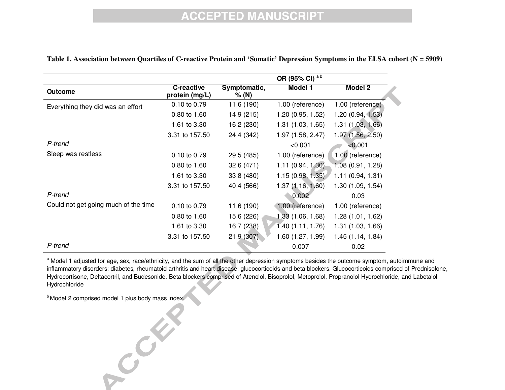|                                      |                              |                       | OR (95% CI) <sup>ab</sup> |                  |
|--------------------------------------|------------------------------|-----------------------|---------------------------|------------------|
| <b>Outcome</b>                       | C-reactive<br>protein (mg/L) | Symptomatic,<br>% (N) | Model 1                   | Model 2          |
| Everything they did was an effort    | 0.10 to 0.79                 | 11.6 (190)            | 1.00 (reference)          | 1.00 (reference) |
|                                      | 0.80 to 1.60                 | 14.9 (215)            | 1.20(0.95, 1.52)          | 1.20(0.94, 1.53) |
|                                      | 1.61 to 3.30                 | 16.2 (230)            | 1.31(1.03, 1.65)          | 1.31(1.03, 1.66) |
|                                      | 3.31 to 157.50               | 24.4 (342)            | 1.97 (1.58, 2.47)         | 1.97(1.56, 2.50) |
| P-trend                              |                              |                       | < 0.001                   | < 0.001          |
| Sleep was restless                   | 0.10 to 0.79                 | 29.5 (485)            | 1.00 (reference)          | 1.00 (reference) |
|                                      | 0.80 to 1.60                 | 32.6(471)             | 1.11 (0.94, 1.30)         | 1.08(0.91, 1.28) |
|                                      | 1.61 to 3.30                 | 33.8 (480)            | 1.15(0.98, 1.35)          | 1.11(0.94, 1.31) |
|                                      | 3.31 to 157.50               | 40.4 (566)            | 1.37(1.16, 1.60)          | 1.30(1.09, 1.54) |
| P-trend                              |                              |                       | 0.002                     | 0.03             |
| Could not get going much of the time | 0.10 to 0.79                 | 11.6 (190)            | 1.00 (reference)          | 1.00 (reference) |
|                                      | 0.80 to 1.60                 | 15.6 (226)            | 1.33(1.06, 1.68)          | 1.28(1.01, 1.62) |
|                                      | 1.61 to 3.30                 | 16.7 (238)            | 1.40(1.11, 1.76)          | 1.31(1.03, 1.66) |
|                                      | 3.31 to 157.50               | 21.9(307)             | 1.60(1.27, 1.99)          | 1.45(1.14, 1.84) |
| P-trend                              |                              |                       | 0.007                     | 0.02             |

#### **Table 1. Association between Quartiles of C-reactive Protein and 'Somatic' Depression Symptoms in the ELSA cohort (N = 5909)**

<sup>a</sup> Model 1 adjusted for age, sex, race/ethnicity, and the sum of all the other depression symptoms besides the outcome symptom, autoimmune and inflammatory disorders: diabetes, rheumatoid arthritis and heart disease; glucocorticoids and beta blockers. Glucocorticoids comprised of Prednisolone, Hydrocortisone, Deltacortril, and Budesonide. Beta blockers comprised of Atenolol, Bisoprolol, Metoprolol, Propranolol Hydrochloride, and Labetalol Hydrochloride

b<br>Model 2 comprised model 1 plus body mass index.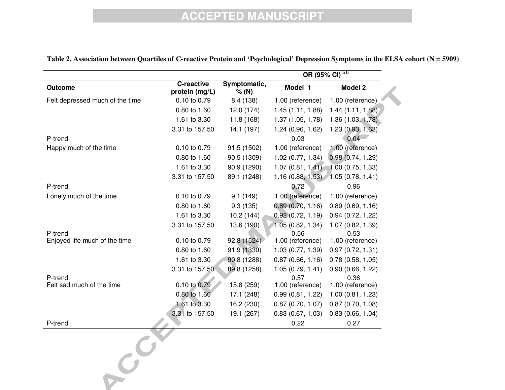|                                      |                              |                       | OR (95% CI) <sup>ab</sup> |                          |  |
|--------------------------------------|------------------------------|-----------------------|---------------------------|--------------------------|--|
| Outcome                              | C-reactive<br>protein (mg/L) | Symptomatic,<br>% (N) | Model 1                   | Model 2                  |  |
| Felt depressed much of the time      | 0.10 to 0.79                 | 8.4 (138)             | 1.00 (reference)          | 1.00 (reference)         |  |
|                                      | 0.80 to 1.60                 | 12.0(174)             | 1.45(1.11, 1.88)          | 1.44(1.11, 1.88)         |  |
|                                      | 1.61 to 3.30                 | 11.8(168)             | 1.37 (1.05, 1.78)         | 1.36 (1.03, 1.78)        |  |
|                                      | 3.31 to 157.50               | 14.1 (197)            | 1.24 (0.96, 1.62)         | 1.23(0.93, 1.63)         |  |
| P-trend                              |                              |                       | 0.03                      | 0.04                     |  |
| Happy much of the time               | 0.10 to 0.79                 | 91.5 (1502)           | 1.00 (reference)          | 1.00 (reference)         |  |
|                                      | 0.80 to 1.60                 | 90.5 (1309)           | 1.02(0.77, 1.34)          | 0.98(0.74, 1.29)         |  |
|                                      | 1.61 to 3.30                 | 90.9 (1290)           | 1.07(0.81, 1.41)          | 1.00(0.75, 1.33)         |  |
|                                      | 3.31 to 157.50               | 89.1 (1248)           | 1.16(0.88, 1.53)          | 1.05(0.78, 1.41)         |  |
| P-trend                              |                              |                       | 0.72                      | 0.96                     |  |
| Lonely much of the time              | 0.10 to 0.79                 | 9.1(149)              | 1.00 (reference)          | 1.00 (reference)         |  |
|                                      | 0.80 to 1.60                 | 9.3(135)              | 0.89(0.70, 1.16)          | 0.89(0.69, 1.16)         |  |
|                                      | 1.61 to 3.30                 | 10.2(144)             | 0.92(0.72, 1.19)          | 0.94(0.72, 1.22)         |  |
|                                      | 3.31 to 157.50               | 13.6 (190)            | 1.05(0.82, 1.34)          | 1.07 (0.82, 1.39)        |  |
| P-trend                              |                              |                       | 0.56                      | 0.53                     |  |
| Enjoyed life much of the time        | 0.10 to 0.79                 | 92.8 (1524)           | 1.00 (reference)          | 1.00 (reference)         |  |
|                                      | 0.80 to 1.60                 | 91.9 (1330)           | 1.03 (0.77, 1.39)         | 0.97(0.72, 1.31)         |  |
|                                      | 1.61 to 3.30                 | 90.8 (1288)           | 0.87(0.66, 1.16)          | 0.78(0.58, 1.05)         |  |
|                                      | 3.31 to 157.50               | 89.8 (1258)           | 1.05(0.79, 1.41)          | 0.90(0.66, 1.22)         |  |
| P-trend<br>Felt sad much of the time | 0.10 to 0.79                 | 15.8 (259)            | 0.57<br>1.00 (reference)  | 0.36<br>1.00 (reference) |  |
|                                      | 0.80 to 1.60                 | 17.1 (248)            | 0.99(0.81, 1.22)          | 1.00(0.81, 1.23)         |  |
|                                      | 1.61 to 3.30                 | 16.2 (230)            | 0.87(0.70, 1.07)          | 0.87(0.70, 1.08)         |  |
|                                      | 3.31 to 157.50               | 19.1 (267)            | 0.83(0.67, 1.03)          | 0.83(0.66, 1.04)         |  |
| P-trend                              |                              |                       | 0.22                      | 0.27                     |  |
| 3                                    |                              |                       |                           |                          |  |

#### **Table 2. Association between Quartiles of C-reactive Protein and 'Psychological' Depression Symptoms in the ELSA cohort (N = 5909)**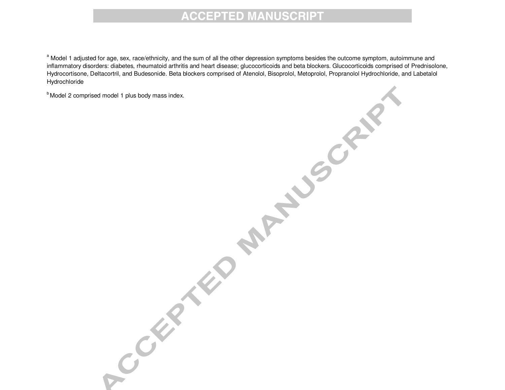<sup>a</sup> Model 1 adjusted for age, sex, race/ethnicity, and the sum of all the other depression symptoms besides the outcome symptom, autoimmune and inflammatory disorders: diabetes, rheumatoid arthritis and heart disease; glucocorticoids and beta blockers. Glucocorticoids comprised of Prednisolone, Hydrocortisone, Deltacortril, and Budesonide. Beta blockers comprised of Atenolol, Bisoprolol, Metoprolol, Propranolol Hydrochloride, and Labetalol Hydrochloride

**PARTIES CRY** 

 $<sup>b</sup>$  Model 2 comprised model 1 plus body mass index.</sup>

Company